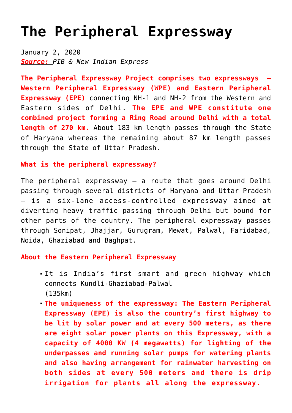## **[The Peripheral Expressway](https://journalsofindia.com/the-peripheral-expressway/)**

January 2, 2020 *Source: PIB & New Indian Express*

**The Peripheral Expressway Project comprises two expressways – Western Peripheral Expressway (WPE) and Eastern Peripheral Expressway (EPE)** connecting NH-1 and NH-2 from the Western and Eastern sides of Delhi. **The EPE and WPE constitute one combined project forming a Ring Road around Delhi with a total length of 270 km.** About 183 km length passes through the State of Haryana whereas the remaining about 87 km length passes through the State of Uttar Pradesh.

## **What is the peripheral expressway?**

The peripheral expressway  $-$  a route that goes around Delhi passing through several districts of Haryana and Uttar Pradesh — is a six-lane access-controlled expressway aimed at diverting heavy traffic passing through Delhi but bound for other parts of the country. The peripheral expressway passes through Sonipat, Jhajjar, Gurugram, Mewat, Palwal, Faridabad, Noida, Ghaziabad and Baghpat.

## **About the Eastern Peripheral Expressway**

- It is India's first smart and green highway which connects Kundli-Ghaziabad-Palwal (135km)
- **The uniqueness of the expressway: The Eastern Peripheral Expressway (EPE) is also the country's first highway to be lit by solar power and at every 500 meters, as there are eight solar power plants on this Expressway, with a capacity of 4000 KW (4 megawatts) for lighting of the underpasses and running solar pumps for watering plants and also having arrangement for rainwater harvesting on both sides at every 500 meters and there is drip irrigation for plants all along the expressway.**